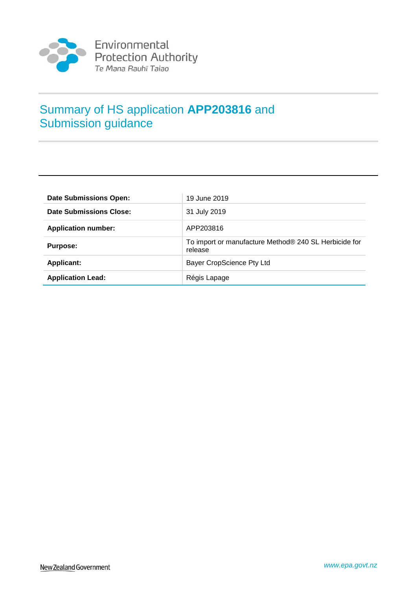

# Summary of HS application **APP203816** and Submission guidance

| <b>Date Submissions Open:</b> | 19 June 2019                                                     |
|-------------------------------|------------------------------------------------------------------|
| Date Submissions Close:       | 31 July 2019                                                     |
| <b>Application number:</b>    | APP203816                                                        |
| <b>Purpose:</b>               | To import or manufacture Method® 240 SL Herbicide for<br>release |
| <b>Applicant:</b>             | <b>Bayer CropScience Pty Ltd</b>                                 |
| <b>Application Lead:</b>      | Régis Lapage                                                     |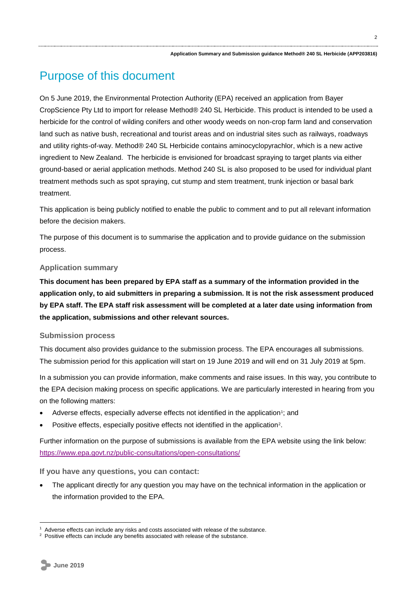# Purpose of this document

On 5 June 2019, the Environmental Protection Authority (EPA) received an application from Bayer CropScience Pty Ltd to import for release Method® 240 SL Herbicide. This product is intended to be used a herbicide for the control of wilding conifers and other woody weeds on non-crop farm land and conservation land such as native bush, recreational and tourist areas and on industrial sites such as railways, roadways and utility rights-of-way. Method® 240 SL Herbicide contains aminocyclopyrachlor, which is a new active ingredient to New Zealand. The herbicide is envisioned for broadcast spraying to target plants via either ground-based or aerial application methods. Method 240 SL is also proposed to be used for individual plant treatment methods such as spot spraying, cut stump and stem treatment, trunk injection or basal bark treatment.

This application is being publicly notified to enable the public to comment and to put all relevant information before the decision makers.

The purpose of this document is to summarise the application and to provide guidance on the submission process.

#### **Application summary**

**This document has been prepared by EPA staff as a summary of the information provided in the application only, to aid submitters in preparing a submission. It is not the risk assessment produced by EPA staff. The EPA staff risk assessment will be completed at a later date using information from the application, submissions and other relevant sources.**

#### **Submission process**

This document also provides guidance to the submission process. The EPA encourages all submissions. The submission period for this application will start on 19 June 2019 and will end on 31 July 2019 at 5pm.

In a submission you can provide information, make comments and raise issues. In this way, you contribute to the EPA decision making process on specific applications. We are particularly interested in hearing from you on the following matters:

- Adverse effects, especially adverse effects not identified in the application<sup>1</sup>; and
- Positive effects, especially positive effects not identified in the application<sup>2</sup>.

Further information on the purpose of submissions is available from the EPA website using the link below: <https://www.epa.govt.nz/public-consultations/open-consultations/>

**If you have any questions, you can contact:**

 The applicant directly for any question you may have on the technical information in the application or the information provided to the EPA.

<sup>1</sup> Adverse effects can include any risks and costs associated with release of the substance.

<sup>&</sup>lt;sup>2</sup> Positive effects can include any benefits associated with release of the substance.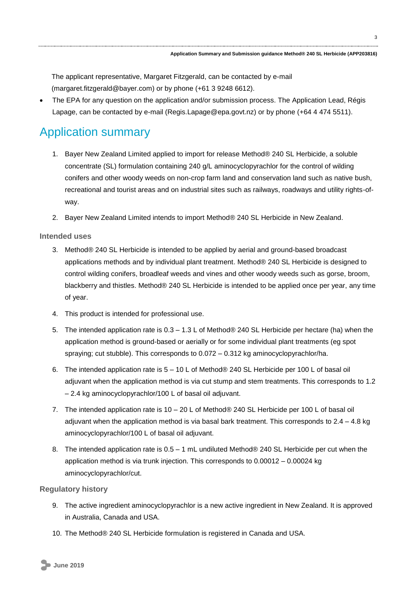The applicant representative, Margaret Fitzgerald, can be contacted by e-mail (margaret.fitzgerald@bayer.com) or by phone (+61 3 9248 6612).

 The EPA for any question on the application and/or submission process. The Application Lead, Régis Lapage, can be contacted by e-mail (Regis.Lapage@epa.govt.nz) or by phone (+64 4 474 5511).

# Application summary

- 1. Bayer New Zealand Limited applied to import for release Method® 240 SL Herbicide, a soluble concentrate (SL) formulation containing 240 g/L aminocyclopyrachlor for the control of wilding conifers and other woody weeds on non-crop farm land and conservation land such as native bush, recreational and tourist areas and on industrial sites such as railways, roadways and utility rights-ofway.
- 2. Bayer New Zealand Limited intends to import Method® 240 SL Herbicide in New Zealand.

## **Intended uses**

- 3. Method® 240 SL Herbicide is intended to be applied by aerial and ground-based broadcast applications methods and by individual plant treatment. Method® 240 SL Herbicide is designed to control wilding conifers, broadleaf weeds and vines and other woody weeds such as gorse, broom, blackberry and thistles. Method® 240 SL Herbicide is intended to be applied once per year, any time of year.
- 4. This product is intended for professional use.
- 5. The intended application rate is 0.3 1.3 L of Method® 240 SL Herbicide per hectare (ha) when the application method is ground-based or aerially or for some individual plant treatments (eg spot spraying; cut stubble). This corresponds to 0.072 – 0.312 kg aminocyclopyrachlor/ha.
- 6. The intended application rate is 5 10 L of Method® 240 SL Herbicide per 100 L of basal oil adjuvant when the application method is via cut stump and stem treatments. This corresponds to 1.2 – 2.4 kg aminocyclopyrachlor/100 L of basal oil adjuvant.
- 7. The intended application rate is 10 20 L of Method® 240 SL Herbicide per 100 L of basal oil adjuvant when the application method is via basal bark treatment. This corresponds to  $2.4 - 4.8$  kg aminocyclopyrachlor/100 L of basal oil adjuvant.
- 8. The intended application rate is  $0.5 1$  mL undiluted Method® 240 SL Herbicide per cut when the application method is via trunk injection. This corresponds to 0.00012 – 0.00024 kg aminocyclopyrachlor/cut.

### **Regulatory history**

- 9. The active ingredient aminocyclopyrachlor is a new active ingredient in New Zealand. It is approved in Australia, Canada and USA.
- 10. The Method® 240 SL Herbicide formulation is registered in Canada and USA.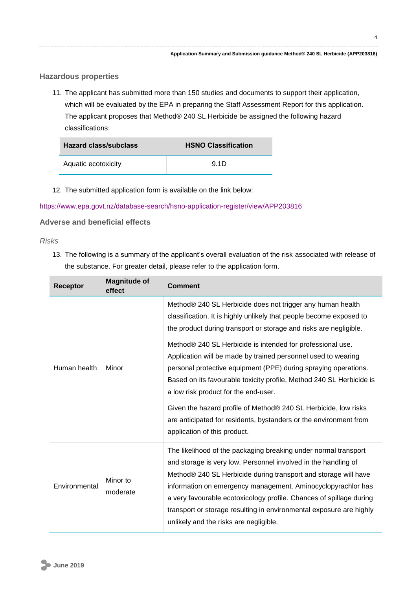#### **Hazardous properties**

11. The applicant has submitted more than 150 studies and documents to support their application, which will be evaluated by the EPA in preparing the Staff Assessment Report for this application. The applicant proposes that Method® 240 SL Herbicide be assigned the following hazard classifications:

| Hazard class/subclass | <b>HSNO Classification</b> |
|-----------------------|----------------------------|
| Aquatic ecotoxicity   | 9.1D                       |

12. The submitted application form is available on the link below:

<https://www.epa.govt.nz/database-search/hsno-application-register/view/APP203816>

**Adverse and beneficial effects**

#### *Risks*

13. The following is a summary of the applicant's overall evaluation of the risk associated with release of the substance. For greater detail, please refer to the application form.

| <b>Receptor</b> | <b>Magnitude of</b><br>effect | <b>Comment</b>                                                                                                                                                                                                                                                                                                                                                                                                                                                                                                                                                                                                                                                                                   |
|-----------------|-------------------------------|--------------------------------------------------------------------------------------------------------------------------------------------------------------------------------------------------------------------------------------------------------------------------------------------------------------------------------------------------------------------------------------------------------------------------------------------------------------------------------------------------------------------------------------------------------------------------------------------------------------------------------------------------------------------------------------------------|
| Human health    | Minor                         | Method® 240 SL Herbicide does not trigger any human health<br>classification. It is highly unlikely that people become exposed to<br>the product during transport or storage and risks are negligible.<br>Method® 240 SL Herbicide is intended for professional use.<br>Application will be made by trained personnel used to wearing<br>personal protective equipment (PPE) during spraying operations.<br>Based on its favourable toxicity profile, Method 240 SL Herbicide is<br>a low risk product for the end-user.<br>Given the hazard profile of Method® 240 SL Herbicide, low risks<br>are anticipated for residents, bystanders or the environment from<br>application of this product. |
| Environmental   | Minor to<br>moderate          | The likelihood of the packaging breaking under normal transport<br>and storage is very low. Personnel involved in the handling of<br>Method® 240 SL Herbicide during transport and storage will have<br>information on emergency management. Aminocyclopyrachlor has<br>a very favourable ecotoxicology profile. Chances of spillage during<br>transport or storage resulting in environmental exposure are highly<br>unlikely and the risks are negligible.                                                                                                                                                                                                                                     |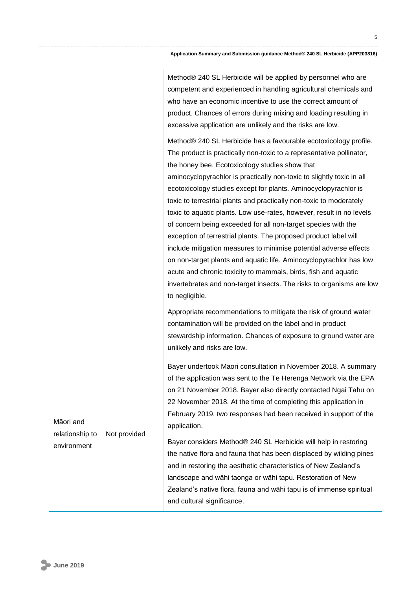#### **Application Summary and Submission guidance Method® 240 SL Herbicide (APP203816)**

|                                             |              | Method® 240 SL Herbicide will be applied by personnel who are<br>competent and experienced in handling agricultural chemicals and<br>who have an economic incentive to use the correct amount of<br>product. Chances of errors during mixing and loading resulting in<br>excessive application are unlikely and the risks are low.                                                                                                                                                                                                                                                                                                                                                                                                                                                                                                                                                                                                                                                                                                                                                                                                                                     |
|---------------------------------------------|--------------|------------------------------------------------------------------------------------------------------------------------------------------------------------------------------------------------------------------------------------------------------------------------------------------------------------------------------------------------------------------------------------------------------------------------------------------------------------------------------------------------------------------------------------------------------------------------------------------------------------------------------------------------------------------------------------------------------------------------------------------------------------------------------------------------------------------------------------------------------------------------------------------------------------------------------------------------------------------------------------------------------------------------------------------------------------------------------------------------------------------------------------------------------------------------|
|                                             |              | Method® 240 SL Herbicide has a favourable ecotoxicology profile.<br>The product is practically non-toxic to a representative pollinator,<br>the honey bee. Ecotoxicology studies show that<br>aminocyclopyrachlor is practically non-toxic to slightly toxic in all<br>ecotoxicology studies except for plants. Aminocyclopyrachlor is<br>toxic to terrestrial plants and practically non-toxic to moderately<br>toxic to aquatic plants. Low use-rates, however, result in no levels<br>of concern being exceeded for all non-target species with the<br>exception of terrestrial plants. The proposed product label will<br>include mitigation measures to minimise potential adverse effects<br>on non-target plants and aquatic life. Aminocyclopyrachlor has low<br>acute and chronic toxicity to mammals, birds, fish and aquatic<br>invertebrates and non-target insects. The risks to organisms are low<br>to negligible.<br>Appropriate recommendations to mitigate the risk of ground water<br>contamination will be provided on the label and in product<br>stewardship information. Chances of exposure to ground water are<br>unlikely and risks are low. |
| Māori and<br>relationship to<br>environment | Not provided | Bayer undertook Maori consultation in November 2018. A summary<br>of the application was sent to the Te Herenga Network via the EPA<br>on 21 November 2018. Bayer also directly contacted Ngai Tahu on<br>22 November 2018. At the time of completing this application in<br>February 2019, two responses had been received in support of the<br>application.<br>Bayer considers Method® 240 SL Herbicide will help in restoring<br>the native flora and fauna that has been displaced by wilding pines<br>and in restoring the aesthetic characteristics of New Zealand's<br>landscape and wāhi taonga or wāhi tapu. Restoration of New<br>Zealand's native flora, fauna and wāhi tapu is of immense spiritual<br>and cultural significance.                                                                                                                                                                                                                                                                                                                                                                                                                          |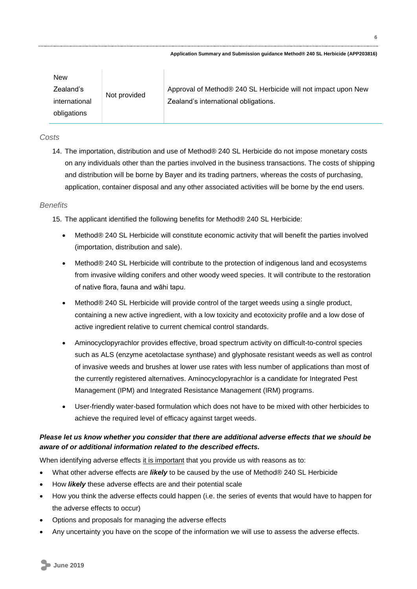| New           |              |                                                               |
|---------------|--------------|---------------------------------------------------------------|
| Zealand's     | Not provided | Approval of Method® 240 SL Herbicide will not impact upon New |
| international |              | Zealand's international obligations.                          |
| obligations   |              |                                                               |

#### *Costs*

14. The importation, distribution and use of Method® 240 SL Herbicide do not impose monetary costs on any individuals other than the parties involved in the business transactions. The costs of shipping and distribution will be borne by Bayer and its trading partners, whereas the costs of purchasing, application, container disposal and any other associated activities will be borne by the end users.

#### *Benefits*

15. The applicant identified the following benefits for Method® 240 SL Herbicide:

- Method® 240 SL Herbicide will constitute economic activity that will benefit the parties involved (importation, distribution and sale).
- Method® 240 SL Herbicide will contribute to the protection of indigenous land and ecosystems from invasive wilding conifers and other woody weed species. It will contribute to the restoration of native flora, fauna and wāhi tapu.
- Method® 240 SL Herbicide will provide control of the target weeds using a single product, containing a new active ingredient, with a low toxicity and ecotoxicity profile and a low dose of active ingredient relative to current chemical control standards.
- Aminocyclopyrachlor provides effective, broad spectrum activity on difficult-to-control species such as ALS (enzyme acetolactase synthase) and glyphosate resistant weeds as well as control of invasive weeds and brushes at lower use rates with less number of applications than most of the currently registered alternatives. Aminocyclopyrachlor is a candidate for Integrated Pest Management (IPM) and Integrated Resistance Management (IRM) programs.
- User-friendly water-based formulation which does not have to be mixed with other herbicides to achieve the required level of efficacy against target weeds.

## *Please let us know whether you consider that there are additional adverse effects that we should be aware of or additional information related to the described effects.*

When identifying adverse effects it is important that you provide us with reasons as to:

- What other adverse effects are *likely* to be caused by the use of Method® 240 SL Herbicide
- How *likely* these adverse effects are and their potential scale
- How you think the adverse effects could happen (i.e. the series of events that would have to happen for the adverse effects to occur)
- Options and proposals for managing the adverse effects
- Any uncertainty you have on the scope of the information we will use to assess the adverse effects.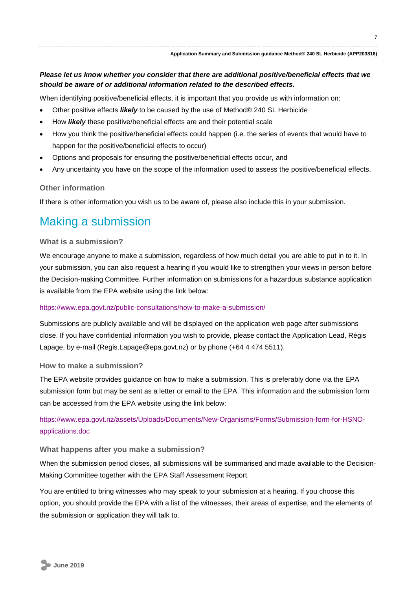### *Please let us know whether you consider that there are additional positive/beneficial effects that we should be aware of or additional information related to the described effects.*

When identifying positive/beneficial effects, it is important that you provide us with information on:

- Other positive effects *likely* to be caused by the use of Method® 240 SL Herbicide
- How *likely* these positive/beneficial effects are and their potential scale
- How you think the positive/beneficial effects could happen (i.e. the series of events that would have to happen for the positive/beneficial effects to occur)
- Options and proposals for ensuring the positive/beneficial effects occur, and
- Any uncertainty you have on the scope of the information used to assess the positive/beneficial effects.

#### **Other information**

If there is other information you wish us to be aware of, please also include this in your submission.

# Making a submission

#### **What is a submission?**

We encourage anyone to make a submission, regardless of how much detail you are able to put in to it. In your submission, you can also request a hearing if you would like to strengthen your views in person before the Decision-making Committee. Further information on submissions for a hazardous substance application is available from the EPA website using the link below:

#### <https://www.epa.govt.nz/public-consultations/how-to-make-a-submission/>

Submissions are publicly available and will be displayed on the application web page after submissions close. If you have confidential information you wish to provide, please contact the Application Lead, Régis Lapage, by e-mail (Regis.Lapage@epa.govt.nz) or by phone (+64 4 474 5511).

#### **How to make a submission?**

The EPA website provides guidance on how to make a submission. This is preferably done via the EPA submission form but may be sent as a letter or email to the EPA. This information and the submission form can be accessed from the EPA website using the link below:

[https://www.epa.govt.nz/assets/Uploads/Documents/New-Organisms/Forms/Submission-form-for-HSNO](https://www.epa.govt.nz/assets/Uploads/Documents/New-Organisms/Forms/Submission-form-for-HSNO-applications.doc)[applications.doc](https://www.epa.govt.nz/assets/Uploads/Documents/New-Organisms/Forms/Submission-form-for-HSNO-applications.doc)

#### **What happens after you make a submission?**

When the submission period closes, all submissions will be summarised and made available to the Decision-Making Committee together with the EPA Staff Assessment Report.

You are entitled to bring witnesses who may speak to your submission at a hearing. If you choose this option, you should provide the EPA with a list of the witnesses, their areas of expertise, and the elements of the submission or application they will talk to.